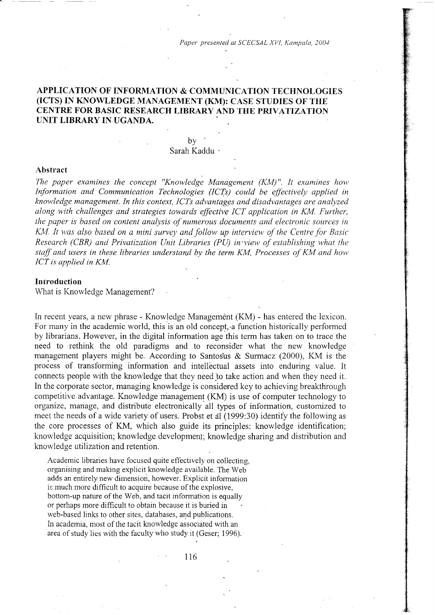# APPLICATION OF INFORMATION & COMMUNICATION TECHNOLOGIES (ICTS) IN KNOWLEDGE MANAGEMENT (KM): CASE STUDIES OF THE CENTRE FOR BASIC RESEARCH LIBRARY AND THE PRIVATIZATION UNIT LIBRARY IN UGANDA.

## $\mathbf{b} \mathbf{v}$ Sarah Kaddu '

#### Abstract

The paper examines the concept "Knowledge Management  $(KM)$ ". It examines how Information and Communication Technologies (ICTs) could be effectively applied in knowledge management. In this context, ICTs advantages and disadvantages are analyzed along with challenges and strategies towards effective ICT application in KM. Further, the paper is based on content analysis of numerous documents and electronic sources in KM. It was also based on a mini survey and follow up interview of the Centre for Basic Research (CBR) and Privatization Unit Libraries (PU) in view of establishing what the staff and users in these libraries understand by the term KM, Processes of KM and how ICT is applied in KM.

#### **Introduction**

What is Knowledge Management?

In recent years, a new phrase - Knowledge Management (KM) - has entered the lexicon. For many in the academic world, this is an old concept, a function historically performed by librarians. However, in the digital information age this tern has taken on to trace the need to rethink the old paradigms and to reconsider what the new knowledge management players might be. According to Santosus & Surmacz (2000), KM is the process of transforming information and intellectual assets into enduring value. It connects people with the knowledge that they need to take action and when they need it. In the corporate sector, managing knowledge is considered key to achieving breakthrough competitive advantage. Knowledge management (KM) is use of computer technology to organize, manage, and distribute electronically all types of information, customized to meet the needs of a wide variety of users. Probst et al  $(1999:30)$  identify the following as the core processes of KM, which also guide its principles: knowledge identification; knowledge acquisition; knowledge development; knowledge sharing and distribution and knowledge utilization and retention.

Academic libraries have focused quite effectively on collecting, organising and making explicit knowledge available. The Web adds an entirely new dimension, however. Explicit information is much more difficult to acquire because of the explosive, bottom-up nature of the Web, and tacit information is equally or perhaps more difficult to obtain because it is buried in web-based links to other sites, databases, and publications. In academia, most of the tacit knowledge associated with an area of study lies with the faculty who study it (Geser; 1996).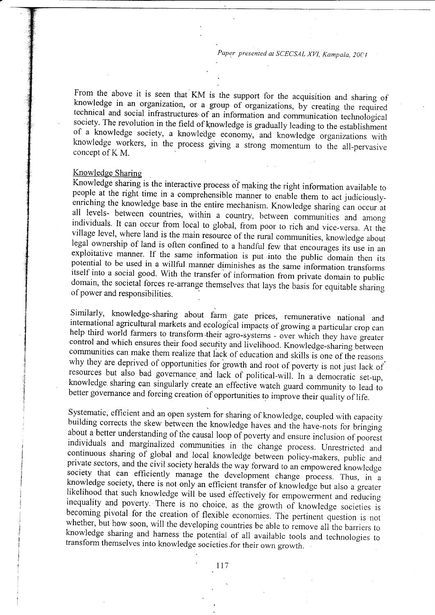From the above it is seen that KM is the support for the acquisition and sharing of knowledge in an organization, or a group of organizations, by creating the required technical and social infrastructures of an information concept of K M.

Knowledge Sharing<br>Knowledge sharing is the interactive process of making the right information available to Knowledge sharing is the interactive process of making the right information available to people at the right time in a comprehensible manner to enable them to act judiciouslyenriching the knowledge base in the entire mechanism. Knowledge sharing can occur at all levels- between countries, within a country, between communities and among individuals. It can occur from local to global, from poor to rich and vice-versa. At the village level, where land is the main resource of the rural communities, knowledge about legal ownership of land is often confined to potential to be used in a willful manner diminishes as the same information transforms itself into a social good. With the transfer of information from private domain to public domain, the societal forces re-arrange themse .

Similarly, knowledge-sharing about farm gate prices, remunerative national and<br>international agricultural markets and ecological impacts of growing a particular crop can<br>help third world farmers to transform their agro-sys knowledge sharing can singularly create an effective watch guard community to lead to better governance and forcing creation of opportunities to improve their quality of life.

Systematic, efficient and an open system for sharing of knowledge, coupled with capacity<br>building corrects the skew between the knowledge haves and the have-nots for bringing<br>about a better understanding of the causal loop p of individuals and marginalized communities in the change process. Unrestricted and<br>continuous sharing of global and local knowledge between policy-makers, public and<br>private sectors, and the civil society heralds the way for likelihood that such knowledge will be used effectively for empowerment and reducing<br>inequality and poverty. There is no choice, as the growth of knowledge societies is<br>becoming pivotal for the creation of flexible economi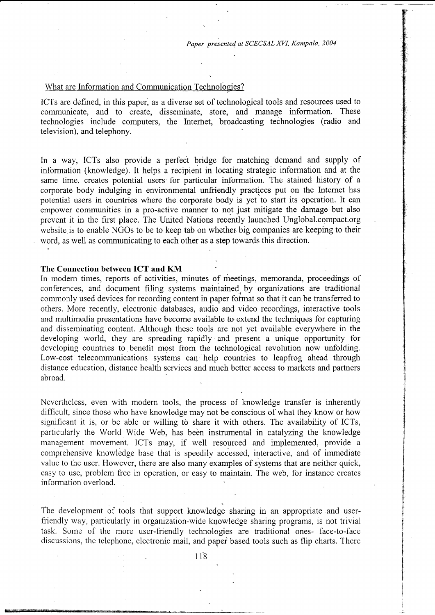## What are Information and Communication Technologies?

ICTs are defined, in this paper, as a diverse set of technological tools and resources used to communicate, and to create, disseminate, store, and manage information. These technologies include computers, the Internet, broadcasting technologies (radio and television), and telephony.

In a way, ICTs also provide a perfect bridge for matching demand and supply of information (knowledge). It helps a recipient in locating strategic information and at the same time, creates potential users' for particular information. The stained history of a corporate body indulging in environmental unfriendly practices put on the lnternet has potential users in countries where the corporate body is yet to start its operation. It can empower communities in a pro-active manner to not just mitigate the damage but also prevent it in the first place. The United Nations recently launched Unglobal.compact.org website is to enable NGOs to be to keep tab on whether big companies are keeping to their word, as well as communicating to each other as a step towards this direction.

## The Connection between ICT and KM

In modern times, reports of activities, minutes of meetings, memoranda, proceedings of conferences, and document filing systems maintained by organizations are traditional commonly used devices for recording content in paper format so that it can be transferred to others. More recently, electronic databases, audio and'video recordings, interactive tools and multimedia presentations have become available to extend the techniques for capturing and disseminating content. Although these tools are not yet available everywhere in the developing world, they are spreading rapidly and present a unique opportunity for developing countries to benefit most from the technological revolution now unfolding. Low-cost telecommunications systems can help countries to leapfrog ahead through distance education, distance health services and much better access to markets and partners abroad.

Nevertheless, even with modern tools, the process of knowledge transfer is inherently difficult, since those who have knowledge may not be conscious of what they know or how significant it is, or be able or willing to share it with others. The availability of ICTs, particularly the World Wide Web, has been instrumental in catalyzing the knowledge management movement. ICTs may, if well resourced and implemented, provide a comprehensive knowledge base that is speedily accessed, interactive, and of immediate value to the user. However, there are also many examples of systems that are neither quick, easy to use, problem free in operation, or easy to maintain. The web, for instance creates information overload.

The development of tools that support knowledge sharing in an appropriate and userfriendly way, particularly in organization-wide knowledge sharing programs, is not trivial task. Some of the more user-friendly technologies are traditional ones- face-to-face discussions, the telephone, electronic mail, and papei based tools such as flip charts. There

118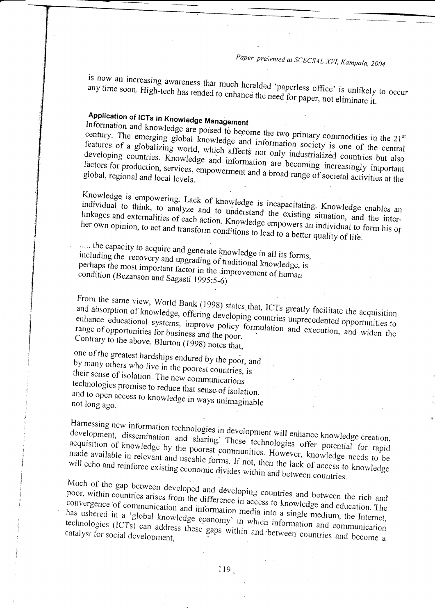is now an increasing awareness that much heralded 'paperless office' is unlikely to occur any time soon. High-tech has tended to enhance the need for paper, not eliminate it.

Application of ICTs in Knowledge Management<br>Information and knowledge are poised to become the two primary commodities in the 21<sup>st</sup><br>century. The emerging global knowledge and information society is one of the central<br>fea developing countries. Knowledge and information are becoming increasingly important<br>factors for production, services, empowerment and a broad range of societal activities at the<br>global, regional and local levels factors for production, services, empowerment and a broad range of societal activities at the

Knowledge is empowering. Lack of knowledge is incapacitating. Knowledge enables an individual to think, to analyze and to understand the existing situation, and the inter-<br>linkages and externalities of each action. Knowledge empowers an individual to form his or<br>her own opinion, to act and transform cond

..... the capacity to acquire and generate knowledge in all its forms, including the recovery and upgrading of traditional knowledge, is including the recovery and upgrading of traditional knowledge, is<br>perhaps the most important factor in the improvement of human<br>condition (Bezanson and Sagasti 1995:5-6)

From the same view, World Bank (1998) states that, ICTs greatly facilitate the acquisition<br>and absorption of knowledge, offering developing countries unprecedented opportunities to<br>enhance educational systems, improve poli enhance educational systems, improve policy formulation and execution, and widen the Contrary to the above, Blurton (1998) notes that,

by many one of the greatest hardships endured by the poor, and their sense of isolation. The new communications<br>technologies promise to reduce that sense of isolation,<br>and to open access to knowledge in ways unimaginable<br>not long ago. and to open access to knowledge in ways unimaginable

Harnessing new information technologies in development will enhance knowledge creation, development, dissemination and sharing. These technologies offer potential for rapid acquisition of knowledge by the poorest communities. However, knowledge needs to be made available in relevant and useable forms. If not, then the lack of access to knowledge will echo and reinforce existing economic divid

Much of the gap between developed and developing countries and between the rich and poor, within countries arises from the difference in access to knowledge and education. The convergence of communication and information m technologies (ICTs) can address these gaps within and between countries and become a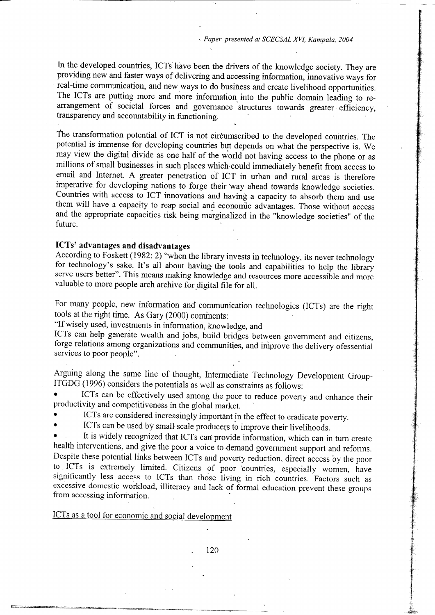In the developed countries, ICTs have been the drivers of the knowledge society. They are providing new and faster ways of delivering and accessing information, innovative ways for real-time communication, and new ways to do business and create livelihood opportunities. The ICTs are putting more and more information into the public domain leading to rearrangement of societal forces and governance structures towards greater efficiency, transparency and accountability in functioning.

fhe transformation potential of ICT is not circumscribed to the developed countries. The potential is immense for developing countries but depends on what the perspective is. We may view the digital divide as one half of the world not having access to the phone or as millions of small businesses in such places which.could immediately benefit from access to email and Internet. A greater penetration of ICT in urban and rural areas is therefore imperative for developing nations to forge their way ahead towards knowledge societies. Countries with access to ICT innovations and having a capacity to absorb them and use them will have a capacity to reap social and economic advantages. Those without access and the appropriate capacities risk being marginalized in the "knowledge societies" of the future.

# ICTs' advantages and disadvantages

According to Foskett (1982:2) "when the library invests in technology, its never technology for technology's sake. It's all about having the tools and capabilities to help the library serve users better". This means making knowledge and resources more accessible and more valuable to more people arch archive for digital file for all.

For many people, new information and communication technologies (lCTs) are the right tools at the right time. As Gary (2000) cominents:

"if wisely used, investments in information, knowledge, and

ICTs can help generate wealth and jobs, build bridges between government and citizens, forge relations among organizations and communities, and improve the delivery ofessential services to poor people".

Arguing along the same line of thought, Intermediate Technology Development Group-ITGDG (1996) considers the potentials as well as constraints as follows:

ICTs can be effectively used among the poor to reduce poverty and enhance their productivity and competitiveness in the global market.

ICTs are considered increasingly important in the effect to eradicate poverty.

ICTs can be used by small scale producers to improve their livelihoods.

It is widely recognized that ICTs can provide information, which can in turn create health interventions, and give the poor a voice to demand government support and reforms. Despite these potential links between ICTs and poverty reduction, direct access by the poor to ICTs is extremely limited. Citizens of poor countries, especially women, have significantly less access to ICTs than thoie living in rich countries. Factors such as excessive domestic workload, illiteracy and lack of formal education prevent these groups from accessing information.

ICTs as a tool for economic and social development

120

'I 't *<i>x* &a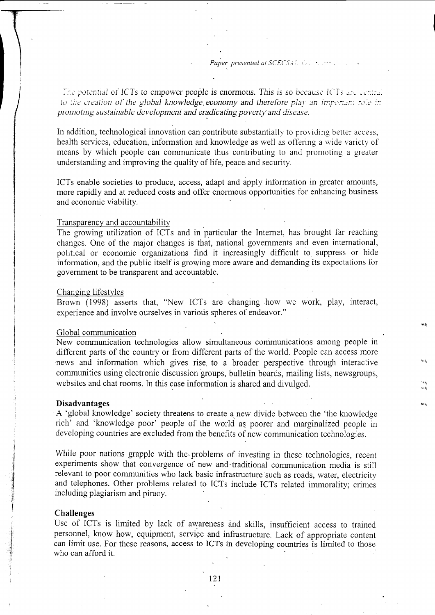Paper presented at  $SCECSAL$ 

The potential of ICTs to empower people is enormous. This is so because ICTs are central to the creation of the global knowledge economy and therefore play an important role in promoting sustainable development and eradicating poverty and disease.

In addition, technological innovation can contribute substantially to providing better access, health services, education, information and knowledge as well as offering a wide variety of means by which people can communicate thus contributing to and promoting a greater understanding and improving the quality of life, peace and security.

ICTs enable societies to produce, access, adapt and apply information in greater amounts, more rapidly and at reduced costs and offer enormous opportunities for enhancing business and economic viability.

#### Transparency and accountability

The growing utilization of ICTs and in particular the Internet, has brought far reaching changes. One of the major changes is that, national governments and even international, political or economic organizations find it increasingly difficult to suppress or hide information, and the public itself is growing more aware and demanding its expectations for government to be transparent and accountable.

## Changing lifestyles

Brown (1998) asserts that, "New ICTs are changing how we work, play, interact, experience and involve ourselves in various spheres of endeavor."

#### Global communication

New communication technologies allow simultaneous conrnunications among people in different parts of the country or from different parts of the world. People can access more 'news and information which gives rise. to a broader perspective through interactive communities using electronic discussion groups, bulletin boards, mailing lists, newsgroups, websites and chat rooms. In this case information is shared and divulged.

## Disadvantages

A 'global knowledge' society threatens to create a new divide between the 'the knowledge rich' and 'knowledge poor' people of the world as. poorer and marginalized people in developing countries are excluded from the benefits of new communication technologies.

While poor nations grapple with the problems of investing in these technologies, recent experiments show that convergence of new and'traditional communication media is still relevant to poor communities who lack basic infrastructure'such as roads, water, electricity and telephones. Other problems related to ICTs include ICTs related immorality; crimes including plagiarism and piracy.

#### Challenges

f 3 i

i

Use of ICTs is limited by lack of awareness and skills, insufficient access to trained personnel, know how, equipment, servige and infrastructure. Lack of appropriate content can limit use. For these reasons, access to ICTs in developing countries is limited to those who can afford it.

t2l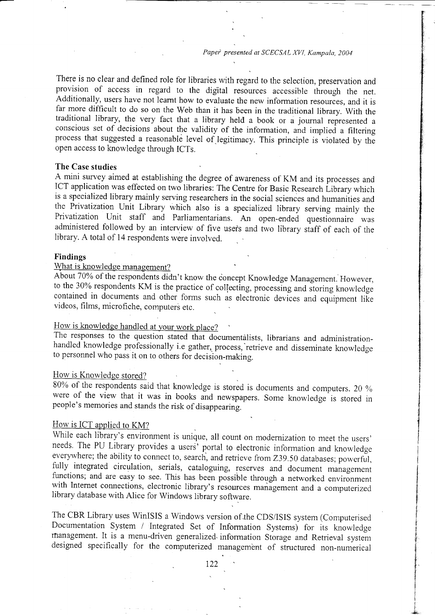There is no clear and defined role for libraries with regard to the selection, preservation and provision of access in regard to the digital resources accessible through the net. Additionally, users have not learnt how to evaluate the new information resources, and it is far more difficult to do so on the Web than it has been in the traditional library. With the traditional library, the very fact that a library held a book or a journal represented a conscious set of decisions about the validity of the information, and implied a filtering process that suggested a reasonable level of.legitimacy. This principle is violated by the open access to knowledge through ICTs.

## The Case studies

A mini survey aimed at establishing the degree of awareness of KM and its processes and ICT application was effected on two libraries: The Centre for Basic Research Library which is a specialized library mainly serving researchers in the social sciences and humanities and the Privatization Unit Library which also is a specialized library serving mainly the Privatization Unit staff and Parliamentarians. An open-ended questionnaire was administered followed by an interview of five users and two library staff of each of the library. A total of 14 respondents were involved.

## Findings

# What is knowledge management?

About 70%o of the respondents didn't know the ioncept Knowledge Management. However, to the 30% respondents KM is the practice of collecting, processing and storing knowledge contained in documents and other forms such as electronic devices and equipment like videos, films, microfiche, computers etc.

# How is knowledge handled at your work place?

The responses to the question stated that documentalists, librarians and administrationhandled knowledge professionally i.e gather, process, retrieve and disseminate knowledge to personnel who pass it on to others for decision-making.

## How is Knowledge stored?

80% of the respondents said that knowledge is stored is documents and computers. 20 % were of the view that it was in books and newspapers. Some knowledge is stored in people's memories and stands the risk of disappearing.

#### How is ICT applied to KM?

While each library's environment is unique, all count on modernization to meet the users' needs. The PU Library provides a users<sup>7</sup> portal to electronic information and knowledge everywhere; the ability to connect to, search, and retrieve from Z39.50 databases; powerful, fully integrated circulation, serials, cataloguing, reserves and document management functions; and are easy to see. This has been possible through a networked environment with Internet connections, electronic library's resources management and a computerized library database with Alice for Windows library software.

The CBR Library uses WinISIS a Windows version of the CDS/ISIS system (Computerised Documentation System / Integrated Set of Information Systems) for its knowledge rnanagement. It is a menu-driven generalized. information Storage and Retrieval system designed specifically for the computerized management of structured non-numerical

were different i.,1 \$ recording to **}** in the projection of **graduated** the contract of I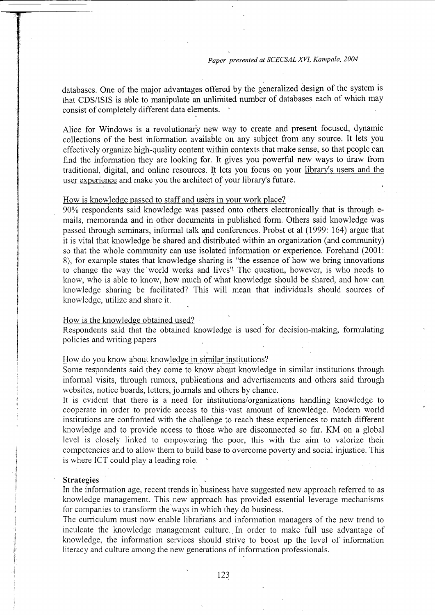databases. One of the major advantages offered by the generalized design of the system is that CDS/ISIS is able to manipulate an unliririted number of databases each of which may consist of completely different data elements.

Alice for Windows is a revolutionary new way to create and present focused, dynamic collections of the best information available on any subject from any source. It lets you effectively organize high-quality content within contexts that make sense, so that people can find the information they are looking for. It gives you powerful new ways to draw from traditional, digital, and online resources. It lets you focus on your library's users and the user experience and make you the architect of your library's future.

## How is knowledge passed to staff and users in your work place?

90% respondents said knowledge was passed onto others electronically that is through emails, memoranda and in other documents in published form. Others said knowledge was passed through seminars, informal talk and conferences. Probst et al (1999: 164) argue that it is vital that knowledge be shared and distributed within an organization (and community) so that the whole community can use isolated information or experience. Forehand (2001: 8), for example states that knowledge sharing is "the essence of how we bring innovations to change the way the'world works and lives'? The question, however, is who needs to know. who is able to know, how much of what knowledge should be shared, and how can knowledge sharing be facilitated? This will mean that individuals should sources of knowledge, utilize and share it.

#### How is the knowledge obtained used?

Respondents said that the obtained knowledge is used for decision-making, formulating policies and writing papers

## How do you know about knowledge in similar institutions?

Some respondents said they come to know about knowledge in similar institutions through informal visits, through rumors, publications and advertisements and others said through websites, notice boards, letters, journals and others by chance.

It is evident that there is a need for institutions/organizations handling knowledge to cooperate in order to provide access to this-vast amount of knowledge. Modern world institutions are confronted with the challenge to reach these experiences to match different knowledge and to provide access to those who are disconnected so far. KM on a global level is closely linked to empowering the poor, this with the aim to valorize their competencies and to allow them to build base to overcome poverty and social injustice. This is where ICT could play a leading role.

#### **Strategies**

In the information age, recent trends in business have suggested new approach referred to as knowledge management. This new approach has provided essential leverage mechanisms for companies to transform the ways in which they do business,

The curriculum must now enable librarians and information managers of the new trend to inculcate the knowledge management culture. In order to make full use advantage of knowledge, the information services should strive to boost up the level of information literacy and culture among the new generations of information professionals.